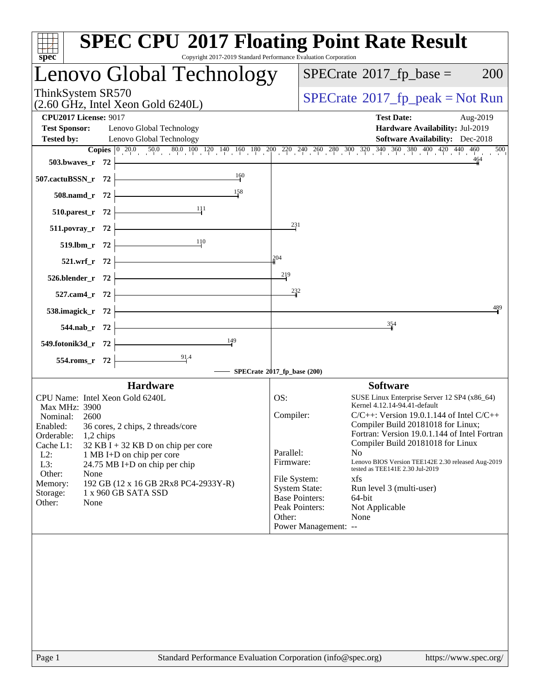| Copyright 2017-2019 Standard Performance Evaluation Corporation<br>$spec^*$                                                                                                                                                                                                                                                                                                                                    | <b>SPEC CPU®2017 Floating Point Rate Result</b>                                                                                                                                                                                                                                                                                                                                                                                                                                                                                                                           |
|----------------------------------------------------------------------------------------------------------------------------------------------------------------------------------------------------------------------------------------------------------------------------------------------------------------------------------------------------------------------------------------------------------------|---------------------------------------------------------------------------------------------------------------------------------------------------------------------------------------------------------------------------------------------------------------------------------------------------------------------------------------------------------------------------------------------------------------------------------------------------------------------------------------------------------------------------------------------------------------------------|
| Lenovo Global Technology                                                                                                                                                                                                                                                                                                                                                                                       | $SPECrate^{\circ}2017$ _fp_base =<br><b>200</b>                                                                                                                                                                                                                                                                                                                                                                                                                                                                                                                           |
| ThinkSystem SR570<br>$(2.60 \text{ GHz}, \text{Intel Xeon Gold } 6240L)$                                                                                                                                                                                                                                                                                                                                       | $SPECrate^{\circ}2017rfp peak = Not Run$                                                                                                                                                                                                                                                                                                                                                                                                                                                                                                                                  |
| <b>CPU2017 License: 9017</b><br><b>Test Sponsor:</b><br>Lenovo Global Technology<br><b>Tested by:</b><br>Lenovo Global Technology<br>503.bwayes_r 72                                                                                                                                                                                                                                                           | <b>Test Date:</b><br>Aug-2019<br>Hardware Availability: Jul-2019<br><b>Software Availability:</b> Dec-2018<br><b>Copies</b> $\begin{bmatrix} 0 & 20.0 & 50.0 & 80.0 & 100 & 120 & 140 & 160 & 180 & 200 & 220 & 240 & 260 & 280 & 300 & 320 & 340 & 360 & 380 & 400 & 420 & 440 & 460 \end{bmatrix}$<br>500<br>464                                                                                                                                                                                                                                                        |
| 160<br>507.cactuBSSN_r 72                                                                                                                                                                                                                                                                                                                                                                                      |                                                                                                                                                                                                                                                                                                                                                                                                                                                                                                                                                                           |
| 158<br>508.namd_r 72                                                                                                                                                                                                                                                                                                                                                                                           |                                                                                                                                                                                                                                                                                                                                                                                                                                                                                                                                                                           |
| 111<br>510.parest_r 72                                                                                                                                                                                                                                                                                                                                                                                         |                                                                                                                                                                                                                                                                                                                                                                                                                                                                                                                                                                           |
| $511. povray_r$ 72                                                                                                                                                                                                                                                                                                                                                                                             | 231                                                                                                                                                                                                                                                                                                                                                                                                                                                                                                                                                                       |
| 110<br>519.lbm_r 72                                                                                                                                                                                                                                                                                                                                                                                            | 204                                                                                                                                                                                                                                                                                                                                                                                                                                                                                                                                                                       |
| 521.wrf_r 72<br>526.blender_r 72                                                                                                                                                                                                                                                                                                                                                                               | 219                                                                                                                                                                                                                                                                                                                                                                                                                                                                                                                                                                       |
| 527.cam4_r 72                                                                                                                                                                                                                                                                                                                                                                                                  | 232                                                                                                                                                                                                                                                                                                                                                                                                                                                                                                                                                                       |
| 538.imagick_r 72                                                                                                                                                                                                                                                                                                                                                                                               | 489                                                                                                                                                                                                                                                                                                                                                                                                                                                                                                                                                                       |
| 544.nab_r<br>- 72                                                                                                                                                                                                                                                                                                                                                                                              | 354                                                                                                                                                                                                                                                                                                                                                                                                                                                                                                                                                                       |
| 149<br>549.fotonik3d_r 72                                                                                                                                                                                                                                                                                                                                                                                      |                                                                                                                                                                                                                                                                                                                                                                                                                                                                                                                                                                           |
| $\frac{91.4}{4}$<br>554.roms_r 72                                                                                                                                                                                                                                                                                                                                                                              | SPECrate®2017_fp_base (200)                                                                                                                                                                                                                                                                                                                                                                                                                                                                                                                                               |
| <b>Hardware</b>                                                                                                                                                                                                                                                                                                                                                                                                | <b>Software</b>                                                                                                                                                                                                                                                                                                                                                                                                                                                                                                                                                           |
| CPU Name: Intel Xeon Gold 6240L<br>Max MHz: 3900<br>Nominal:<br>2600<br>Enabled:<br>36 cores, 2 chips, 2 threads/core<br>Orderable:<br>1,2 chips<br>Cache L1:<br>$32$ KB I + 32 KB D on chip per core<br>$L2$ :<br>1 MB I+D on chip per core<br>L3:<br>24.75 MB I+D on chip per chip<br>Other:<br>None<br>Memory:<br>192 GB (12 x 16 GB 2Rx8 PC4-2933Y-R)<br>1 x 960 GB SATA SSD<br>Storage:<br>Other:<br>None | OS:<br>SUSE Linux Enterprise Server 12 SP4 (x86_64)<br>Kernel 4.12.14-94.41-default<br>Compiler:<br>$C/C++$ : Version 19.0.1.144 of Intel $C/C++$<br>Compiler Build 20181018 for Linux;<br>Fortran: Version 19.0.1.144 of Intel Fortran<br>Compiler Build 20181018 for Linux<br>Parallel:<br>No<br>Lenovo BIOS Version TEE142E 2.30 released Aug-2019<br>Firmware:<br>tested as TEE141E 2.30 Jul-2019<br>File System:<br>xfs<br><b>System State:</b><br>Run level 3 (multi-user)<br><b>Base Pointers:</b><br>64-bit<br>Peak Pointers:<br>Not Applicable<br>Other:<br>None |
|                                                                                                                                                                                                                                                                                                                                                                                                                | Power Management: --                                                                                                                                                                                                                                                                                                                                                                                                                                                                                                                                                      |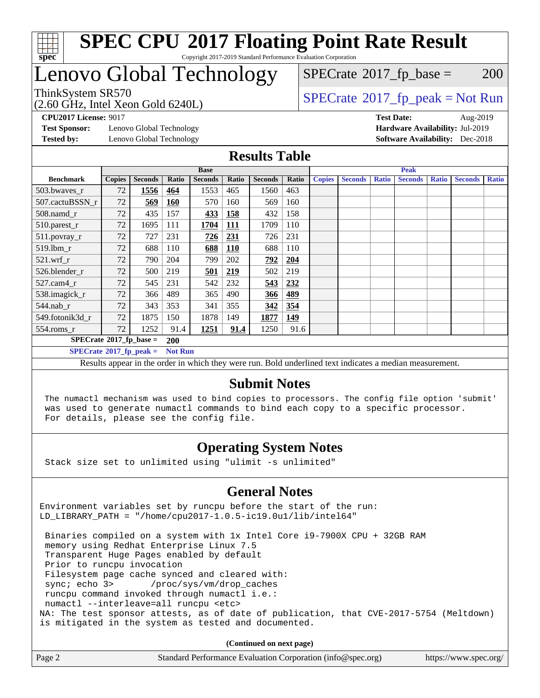

## Lenovo Global Technology

 $SPECTate$ <sup>®</sup>[2017\\_fp\\_base =](http://www.spec.org/auto/cpu2017/Docs/result-fields.html#SPECrate2017fpbase) 200

ThinkSystem SR570<br>(2.60 GHz, Intel Xeon Gold 6240L)

 $SPECTate@2017_fp\_peak = Not Run$ 

**[Test Sponsor:](http://www.spec.org/auto/cpu2017/Docs/result-fields.html#TestSponsor)** Lenovo Global Technology **[Hardware Availability:](http://www.spec.org/auto/cpu2017/Docs/result-fields.html#HardwareAvailability)** Jul-2019 **[Tested by:](http://www.spec.org/auto/cpu2017/Docs/result-fields.html#Testedby)** Lenovo Global Technology **[Software Availability:](http://www.spec.org/auto/cpu2017/Docs/result-fields.html#SoftwareAvailability)** Dec-2018

**[CPU2017 License:](http://www.spec.org/auto/cpu2017/Docs/result-fields.html#CPU2017License)** 9017 **[Test Date:](http://www.spec.org/auto/cpu2017/Docs/result-fields.html#TestDate)** Aug-2019

### **[Results Table](http://www.spec.org/auto/cpu2017/Docs/result-fields.html#ResultsTable)**

|                                                    | <b>Base</b>   |                |            |                | <b>Peak</b> |                |       |               |                |              |                |              |                |              |
|----------------------------------------------------|---------------|----------------|------------|----------------|-------------|----------------|-------|---------------|----------------|--------------|----------------|--------------|----------------|--------------|
| <b>Benchmark</b>                                   | <b>Copies</b> | <b>Seconds</b> | Ratio      | <b>Seconds</b> | Ratio       | <b>Seconds</b> | Ratio | <b>Copies</b> | <b>Seconds</b> | <b>Ratio</b> | <b>Seconds</b> | <b>Ratio</b> | <b>Seconds</b> | <b>Ratio</b> |
| 503.bwaves_r                                       | 72            | 1556           | 464        | 1553           | 465         | 1560           | 463   |               |                |              |                |              |                |              |
| 507.cactuBSSN r                                    | 72            | 569            | <b>160</b> | 570            | 160         | 569            | 160   |               |                |              |                |              |                |              |
| $508$ .namd $r$                                    | 72            | 435            | 157        | 433            | 158         | 432            | 158   |               |                |              |                |              |                |              |
| 510.parest_r                                       | 72            | 1695           | 111        | 1704           | <u> 111</u> | 1709           | 110   |               |                |              |                |              |                |              |
| 511.povray_r                                       | 72            | 727            | 231        | 726            | <u>231</u>  | 726            | 231   |               |                |              |                |              |                |              |
| 519.lbm r                                          | 72            | 688            | 110        | 688            | <b>110</b>  | 688            | 110   |               |                |              |                |              |                |              |
| $521$ .wrf $r$                                     | 72            | 790            | 204        | 799            | 202         | 792            | 204   |               |                |              |                |              |                |              |
| 526.blender r                                      | 72            | 500            | 219        | 501            | 219         | 502            | 219   |               |                |              |                |              |                |              |
| $527$ .cam $4r$                                    | 72            | 545            | 231        | 542            | 232         | 543            | 232   |               |                |              |                |              |                |              |
| 538.imagick_r                                      | 72            | 366            | 489        | 365            | 490         | 366            | 489   |               |                |              |                |              |                |              |
| $544$ .nab r                                       | 72            | 343            | 353        | 341            | 355         | 342            | 354   |               |                |              |                |              |                |              |
| 549.fotonik3d r                                    | 72            | 1875           | 150        | 1878           | 149         | 1877           | 149   |               |                |              |                |              |                |              |
| $554$ .roms_r                                      | 72            | 1252           | 91.4       | 1251           | 91.4        | 1250           | 91.6  |               |                |              |                |              |                |              |
| $SPECrate$ <sup>®</sup> 2017_fp_base =             |               |                | <b>200</b> |                |             |                |       |               |                |              |                |              |                |              |
| <b>Not Run</b><br>$SPECrate^{\circ}2017$ fp peak = |               |                |            |                |             |                |       |               |                |              |                |              |                |              |

Results appear in the [order in which they were run.](http://www.spec.org/auto/cpu2017/Docs/result-fields.html#RunOrder) Bold underlined text [indicates a median measurement.](http://www.spec.org/auto/cpu2017/Docs/result-fields.html#Median)

### **[Submit Notes](http://www.spec.org/auto/cpu2017/Docs/result-fields.html#SubmitNotes)**

 The numactl mechanism was used to bind copies to processors. The config file option 'submit' was used to generate numactl commands to bind each copy to a specific processor. For details, please see the config file.

### **[Operating System Notes](http://www.spec.org/auto/cpu2017/Docs/result-fields.html#OperatingSystemNotes)**

Stack size set to unlimited using "ulimit -s unlimited"

### **[General Notes](http://www.spec.org/auto/cpu2017/Docs/result-fields.html#GeneralNotes)**

Environment variables set by runcpu before the start of the run: LD\_LIBRARY\_PATH = "/home/cpu2017-1.0.5-ic19.0u1/lib/intel64"

 Binaries compiled on a system with 1x Intel Core i9-7900X CPU + 32GB RAM memory using Redhat Enterprise Linux 7.5 Transparent Huge Pages enabled by default Prior to runcpu invocation Filesystem page cache synced and cleared with: sync; echo 3> /proc/sys/vm/drop\_caches runcpu command invoked through numactl i.e.: numactl --interleave=all runcpu <etc> NA: The test sponsor attests, as of date of publication, that CVE-2017-5754 (Meltdown) is mitigated in the system as tested and documented.

**(Continued on next page)**

| Page 2<br>Standard Performance Evaluation Corporation (info@spec.org)<br>https://www.spec.org/ |
|------------------------------------------------------------------------------------------------|
|------------------------------------------------------------------------------------------------|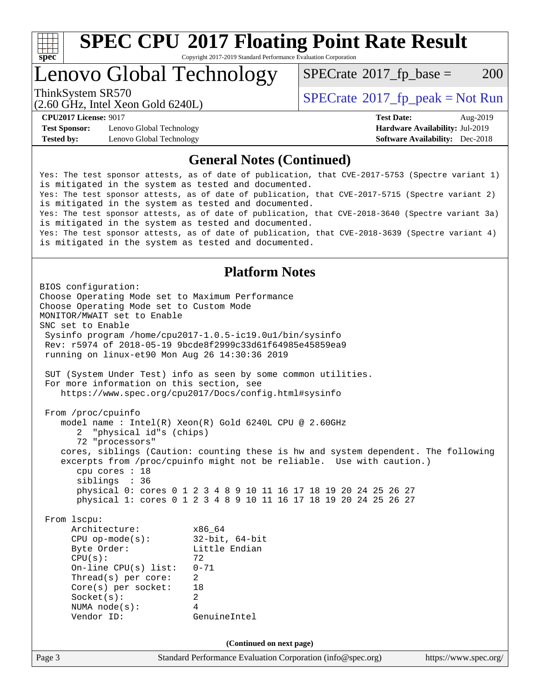

# **[SPEC CPU](http://www.spec.org/auto/cpu2017/Docs/result-fields.html#SPECCPU2017FloatingPointRateResult)[2017 Floating Point Rate Result](http://www.spec.org/auto/cpu2017/Docs/result-fields.html#SPECCPU2017FloatingPointRateResult)**

Copyright 2017-2019 Standard Performance Evaluation Corporation

## Lenovo Global Technology

 $SPECTate$ <sup>®</sup>[2017\\_fp\\_base =](http://www.spec.org/auto/cpu2017/Docs/result-fields.html#SPECrate2017fpbase) 200

(2.60 GHz, Intel Xeon Gold 6240L)

ThinkSystem SR570<br>  $SPECTI<sub>2</sub> Inted Y<sub>0</sub> = Col 6240J$ 

**[Test Sponsor:](http://www.spec.org/auto/cpu2017/Docs/result-fields.html#TestSponsor)** Lenovo Global Technology **[Hardware Availability:](http://www.spec.org/auto/cpu2017/Docs/result-fields.html#HardwareAvailability)** Jul-2019 **[Tested by:](http://www.spec.org/auto/cpu2017/Docs/result-fields.html#Testedby)** Lenovo Global Technology **[Software Availability:](http://www.spec.org/auto/cpu2017/Docs/result-fields.html#SoftwareAvailability)** Dec-2018

**[CPU2017 License:](http://www.spec.org/auto/cpu2017/Docs/result-fields.html#CPU2017License)** 9017 **[Test Date:](http://www.spec.org/auto/cpu2017/Docs/result-fields.html#TestDate)** Aug-2019

### **[General Notes \(Continued\)](http://www.spec.org/auto/cpu2017/Docs/result-fields.html#GeneralNotes)**

Yes: The test sponsor attests, as of date of publication, that CVE-2017-5753 (Spectre variant 1) is mitigated in the system as tested and documented. Yes: The test sponsor attests, as of date of publication, that CVE-2017-5715 (Spectre variant 2) is mitigated in the system as tested and documented. Yes: The test sponsor attests, as of date of publication, that CVE-2018-3640 (Spectre variant 3a) is mitigated in the system as tested and documented. Yes: The test sponsor attests, as of date of publication, that CVE-2018-3639 (Spectre variant 4) is mitigated in the system as tested and documented.

### **[Platform Notes](http://www.spec.org/auto/cpu2017/Docs/result-fields.html#PlatformNotes)**

Page 3 Standard Performance Evaluation Corporation [\(info@spec.org\)](mailto:info@spec.org) <https://www.spec.org/> BIOS configuration: Choose Operating Mode set to Maximum Performance Choose Operating Mode set to Custom Mode MONITOR/MWAIT set to Enable SNC set to Enable Sysinfo program /home/cpu2017-1.0.5-ic19.0u1/bin/sysinfo Rev: r5974 of 2018-05-19 9bcde8f2999c33d61f64985e45859ea9 running on linux-et90 Mon Aug 26 14:30:36 2019 SUT (System Under Test) info as seen by some common utilities. For more information on this section, see <https://www.spec.org/cpu2017/Docs/config.html#sysinfo> From /proc/cpuinfo model name : Intel(R) Xeon(R) Gold 6240L CPU @ 2.60GHz 2 "physical id"s (chips) 72 "processors" cores, siblings (Caution: counting these is hw and system dependent. The following excerpts from /proc/cpuinfo might not be reliable. Use with caution.) cpu cores : 18 siblings : 36 physical 0: cores 0 1 2 3 4 8 9 10 11 16 17 18 19 20 24 25 26 27 physical 1: cores 0 1 2 3 4 8 9 10 11 16 17 18 19 20 24 25 26 27 From lscpu: Architecture: x86\_64 CPU op-mode(s): 32-bit, 64-bit Byte Order: Little Endian  $CPU(s):$  72 On-line CPU(s) list: 0-71 Thread(s) per core: 2 Core(s) per socket: 18 Socket(s): 2 NUMA node(s): 4 Vendor ID: GenuineIntel **(Continued on next page)**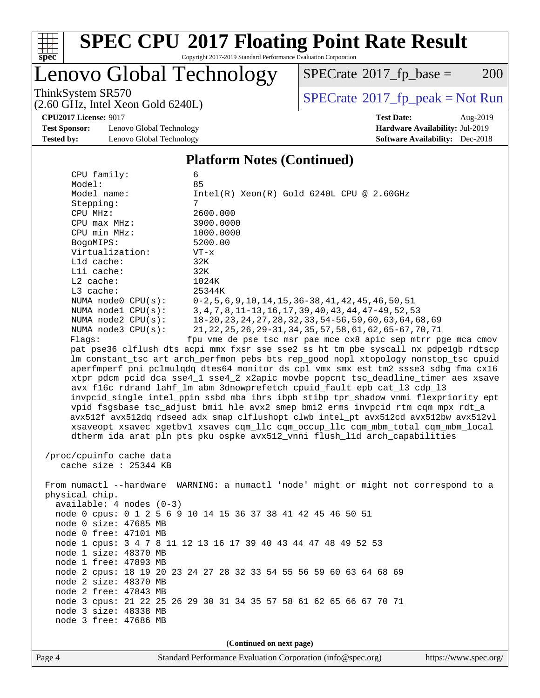

# **[SPEC CPU](http://www.spec.org/auto/cpu2017/Docs/result-fields.html#SPECCPU2017FloatingPointRateResult)[2017 Floating Point Rate Result](http://www.spec.org/auto/cpu2017/Docs/result-fields.html#SPECCPU2017FloatingPointRateResult)**

Copyright 2017-2019 Standard Performance Evaluation Corporation

## Lenovo Global Technology

 $SPECTate$ <sup>®</sup>[2017\\_fp\\_base =](http://www.spec.org/auto/cpu2017/Docs/result-fields.html#SPECrate2017fpbase) 200

ThinkSystem SR570<br>(2.60 GHz, Intel Xeon Gold 6240I)  $\begin{array}{c} | \text{SPECrate} \textdegree 2017\_fp\_peak = Not Run \end{array}$  $\begin{array}{c} | \text{SPECrate} \textdegree 2017\_fp\_peak = Not Run \end{array}$  $\begin{array}{c} | \text{SPECrate} \textdegree 2017\_fp\_peak = Not Run \end{array}$ 

**[CPU2017 License:](http://www.spec.org/auto/cpu2017/Docs/result-fields.html#CPU2017License)** 9017 **[Test Date:](http://www.spec.org/auto/cpu2017/Docs/result-fields.html#TestDate)** Aug-2019

**[Test Sponsor:](http://www.spec.org/auto/cpu2017/Docs/result-fields.html#TestSponsor)** Lenovo Global Technology **[Hardware Availability:](http://www.spec.org/auto/cpu2017/Docs/result-fields.html#HardwareAvailability)** Jul-2019 **[Tested by:](http://www.spec.org/auto/cpu2017/Docs/result-fields.html#Testedby)** Lenovo Global Technology **[Software Availability:](http://www.spec.org/auto/cpu2017/Docs/result-fields.html#SoftwareAvailability)** Dec-2018

(2.60 GHz, Intel Xeon Gold 6240L)

### **[Platform Notes \(Continued\)](http://www.spec.org/auto/cpu2017/Docs/result-fields.html#PlatformNotes)**

 CPU family: 6 Model: 85 Model name: Intel(R) Xeon(R) Gold 6240L CPU @ 2.60GHz Stepping: 7 CPU MHz: 2600.000 CPU max MHz: 3900.0000 CPU min MHz: 1000.0000 BogoMIPS: 5200.00 Virtualization: VT-x L1d cache: 32K L1i cache: 32K L2 cache: 1024K L3 cache: 25344K NUMA node0 CPU(s): 0-2,5,6,9,10,14,15,36-38,41,42,45,46,50,51 NUMA node1 CPU(s): 3,4,7,8,11-13,16,17,39,40,43,44,47-49,52,53 NUMA node2 CPU(s): 18-20,23,24,27,28,32,33,54-56,59,60,63,64,68,69 NUMA node3 CPU(s): 21,22,25,26,29-31,34,35,57,58,61,62,65-67,70,71 Flags: fpu vme de pse tsc msr pae mce cx8 apic sep mtrr pge mca cmov pat pse36 clflush dts acpi mmx fxsr sse sse2 ss ht tm pbe syscall nx pdpe1gb rdtscp lm constant\_tsc art arch\_perfmon pebs bts rep\_good nopl xtopology nonstop\_tsc cpuid aperfmperf pni pclmulqdq dtes64 monitor ds\_cpl vmx smx est tm2 ssse3 sdbg fma cx16 xtpr pdcm pcid dca sse4\_1 sse4\_2 x2apic movbe popcnt tsc\_deadline\_timer aes xsave avx f16c rdrand lahf\_lm abm 3dnowprefetch cpuid\_fault epb cat\_l3 cdp\_l3 invpcid\_single intel\_ppin ssbd mba ibrs ibpb stibp tpr\_shadow vnmi flexpriority ept vpid fsgsbase tsc\_adjust bmi1 hle avx2 smep bmi2 erms invpcid rtm cqm mpx rdt\_a avx512f avx512dq rdseed adx smap clflushopt clwb intel\_pt avx512cd avx512bw avx512vl xsaveopt xsavec xgetbv1 xsaves cqm\_llc cqm\_occup\_llc cqm\_mbm\_total cqm\_mbm\_local dtherm ida arat pln pts pku ospke avx512\_vnni flush\_l1d arch\_capabilities /proc/cpuinfo cache data cache size : 25344 KB From numactl --hardware WARNING: a numactl 'node' might or might not correspond to a physical chip.

 available: 4 nodes (0-3) node 0 cpus: 0 1 2 5 6 9 10 14 15 36 37 38 41 42 45 46 50 51 node 0 size: 47685 MB node 0 free: 47101 MB node 1 cpus: 3 4 7 8 11 12 13 16 17 39 40 43 44 47 48 49 52 53 node 1 size: 48370 MB node 1 free: 47893 MB node 2 cpus: 18 19 20 23 24 27 28 32 33 54 55 56 59 60 63 64 68 69 node 2 size: 48370 MB node 2 free: 47843 MB node 3 cpus: 21 22 25 26 29 30 31 34 35 57 58 61 62 65 66 67 70 71 node 3 size: 48338 MB node 3 free: 47686 MB

**(Continued on next page)**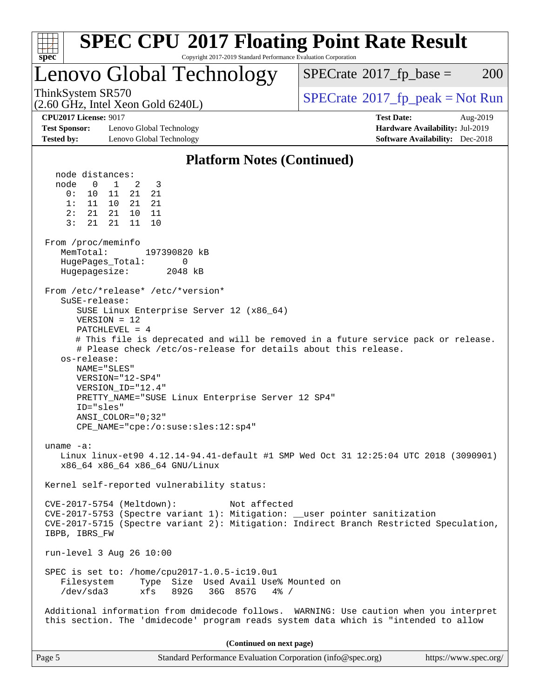| <b>SPEC CPU®2017 Floating Point Rate Result</b><br>Copyright 2017-2019 Standard Performance Evaluation Corporation<br>$spec^*$                                                                                                                                                                                                                                                                                                                                                                        |                                          |  |  |  |
|-------------------------------------------------------------------------------------------------------------------------------------------------------------------------------------------------------------------------------------------------------------------------------------------------------------------------------------------------------------------------------------------------------------------------------------------------------------------------------------------------------|------------------------------------------|--|--|--|
| Lenovo Global Technology                                                                                                                                                                                                                                                                                                                                                                                                                                                                              | 200<br>$SPECrate^{\circ}2017$ fp base =  |  |  |  |
| ThinkSystem SR570<br>$(2.60 \text{ GHz}, \text{Intel Xeon Gold } 6240L)$                                                                                                                                                                                                                                                                                                                                                                                                                              | $SPECrate^{\circ}2017rfp peak = Not Run$ |  |  |  |
| <b>CPU2017 License: 9017</b><br><b>Test Date:</b><br>Aug-2019<br><b>Test Sponsor:</b><br>Lenovo Global Technology<br>Hardware Availability: Jul-2019<br><b>Software Availability:</b> Dec-2018<br><b>Tested by:</b><br>Lenovo Global Technology                                                                                                                                                                                                                                                       |                                          |  |  |  |
| <b>Platform Notes (Continued)</b>                                                                                                                                                                                                                                                                                                                                                                                                                                                                     |                                          |  |  |  |
| node distances:<br>$\mathbf{1}$<br>node<br>0<br>2<br>3<br>0:<br>- 11<br>21<br>21<br>10<br>1: 11 10<br>21 21<br>2:<br>21<br>21<br>10<br>11<br>3:<br>21<br>21<br>10<br>11<br>From /proc/meminfo<br>MemTotal:<br>197390820 kB<br>HugePages_Total:<br>0<br>Hugepagesize:<br>2048 kB                                                                                                                                                                                                                       |                                          |  |  |  |
| From /etc/*release* /etc/*version*<br>SuSE-release:<br>SUSE Linux Enterprise Server 12 (x86_64)<br>$VERSION = 12$<br>PATCHLEVEL = 4<br># This file is deprecated and will be removed in a future service pack or release.<br># Please check /etc/os-release for details about this release.<br>os-release:<br>NAME="SLES"<br>VERSION="12-SP4"<br>VERSION_ID="12.4"<br>PRETTY_NAME="SUSE Linux Enterprise Server 12 SP4"<br>ID="sles"<br>$ANSI\_COLOR = "0; 32"$<br>CPE NAME="cpe:/o:suse:sles:12:sp4" |                                          |  |  |  |
| uname $-a$ :<br>Linux linux-et90 4.12.14-94.41-default #1 SMP Wed Oct 31 12:25:04 UTC 2018 (3090901)<br>x86_64 x86_64 x86_64 GNU/Linux                                                                                                                                                                                                                                                                                                                                                                |                                          |  |  |  |
| Kernel self-reported vulnerability status:<br>CVE-2017-5754 (Meltdown):<br>Not affected<br>CVE-2017-5753 (Spectre variant 1): Mitigation: __user pointer sanitization<br>CVE-2017-5715 (Spectre variant 2): Mitigation: Indirect Branch Restricted Speculation,<br>IBPB, IBRS_FW                                                                                                                                                                                                                      |                                          |  |  |  |
| run-level 3 Aug 26 10:00<br>SPEC is set to: /home/cpu2017-1.0.5-ic19.0u1<br>Type Size Used Avail Use% Mounted on<br>Filesystem<br>/dev/sda3<br>36G 857G<br>xfs<br>892G<br>$4\%$ /<br>Additional information from dmidecode follows. WARNING: Use caution when you interpret                                                                                                                                                                                                                           |                                          |  |  |  |
| this section. The 'dmidecode' program reads system data which is "intended to allow                                                                                                                                                                                                                                                                                                                                                                                                                   |                                          |  |  |  |
| (Continued on next page)                                                                                                                                                                                                                                                                                                                                                                                                                                                                              |                                          |  |  |  |
| Page 5<br>Standard Performance Evaluation Corporation (info@spec.org)                                                                                                                                                                                                                                                                                                                                                                                                                                 | https://www.spec.org/                    |  |  |  |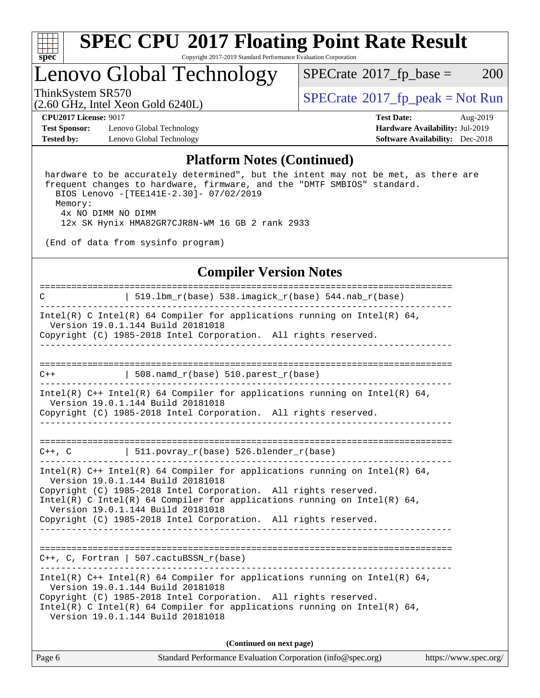

## Lenovo Global Technology

 $SPECTate$ <sup>®</sup>[2017\\_fp\\_base =](http://www.spec.org/auto/cpu2017/Docs/result-fields.html#SPECrate2017fpbase) 200

(2.60 GHz, Intel Xeon Gold 6240L)

ThinkSystem SR570<br>  $SPECTI<sub>2</sub> Intel Yeson Gold 6240I$   $SPECTI<sub>2</sub> Intel Yeson Gold 6240I$ 

**[Test Sponsor:](http://www.spec.org/auto/cpu2017/Docs/result-fields.html#TestSponsor)** Lenovo Global Technology **[Hardware Availability:](http://www.spec.org/auto/cpu2017/Docs/result-fields.html#HardwareAvailability)** Jul-2019 **[Tested by:](http://www.spec.org/auto/cpu2017/Docs/result-fields.html#Testedby)** Lenovo Global Technology **[Software Availability:](http://www.spec.org/auto/cpu2017/Docs/result-fields.html#SoftwareAvailability)** Dec-2018

**[CPU2017 License:](http://www.spec.org/auto/cpu2017/Docs/result-fields.html#CPU2017License)** 9017 **[Test Date:](http://www.spec.org/auto/cpu2017/Docs/result-fields.html#TestDate)** Aug-2019

### **[Platform Notes \(Continued\)](http://www.spec.org/auto/cpu2017/Docs/result-fields.html#PlatformNotes)**

 hardware to be accurately determined", but the intent may not be met, as there are frequent changes to hardware, firmware, and the "DMTF SMBIOS" standard. BIOS Lenovo -[TEE141E-2.30]- 07/02/2019 Memory: 4x NO DIMM NO DIMM 12x SK Hynix HMA82GR7CJR8N-WM 16 GB 2 rank 2933

(End of data from sysinfo program)

### **[Compiler Version Notes](http://www.spec.org/auto/cpu2017/Docs/result-fields.html#CompilerVersionNotes)**

============================================================================== C | 519.lbm\_r(base) 538.imagick\_r(base) 544.nab\_r(base) ------------------------------------------------------------------------------ Intel(R) C Intel(R) 64 Compiler for applications running on Intel(R) 64, Version 19.0.1.144 Build 20181018 Copyright (C) 1985-2018 Intel Corporation. All rights reserved. ------------------------------------------------------------------------------ ==============================================================================  $C++$  | 508.namd\_r(base) 510.parest\_r(base) ------------------------------------------------------------------------------ Intel(R) C++ Intel(R) 64 Compiler for applications running on Intel(R) 64, Version 19.0.1.144 Build 20181018 Copyright (C) 1985-2018 Intel Corporation. All rights reserved. ------------------------------------------------------------------------------ ==============================================================================  $C++$ ,  $C$  | 511.povray\_r(base) 526.blender\_r(base) ------------------------------------------------------------------------------ Intel(R) C++ Intel(R) 64 Compiler for applications running on Intel(R)  $64$ , Version 19.0.1.144 Build 20181018 Copyright (C) 1985-2018 Intel Corporation. All rights reserved. Intel(R) C Intel(R) 64 Compiler for applications running on Intel(R)  $64$ , Version 19.0.1.144 Build 20181018 Copyright (C) 1985-2018 Intel Corporation. All rights reserved. ------------------------------------------------------------------------------ ============================================================================== C++, C, Fortran | 507.cactuBSSN\_r(base) ------------------------------------------------------------------------------ Intel(R) C++ Intel(R) 64 Compiler for applications running on Intel(R)  $64$ , Version 19.0.1.144 Build 20181018 Copyright (C) 1985-2018 Intel Corporation. All rights reserved. Intel(R) C Intel(R) 64 Compiler for applications running on Intel(R)  $64$ , Version 19.0.1.144 Build 20181018 **(Continued on next page)**

| Page 6 | Standard Performance Evaluation Corporation (info@spec.org) | https://www.spec.org/ |
|--------|-------------------------------------------------------------|-----------------------|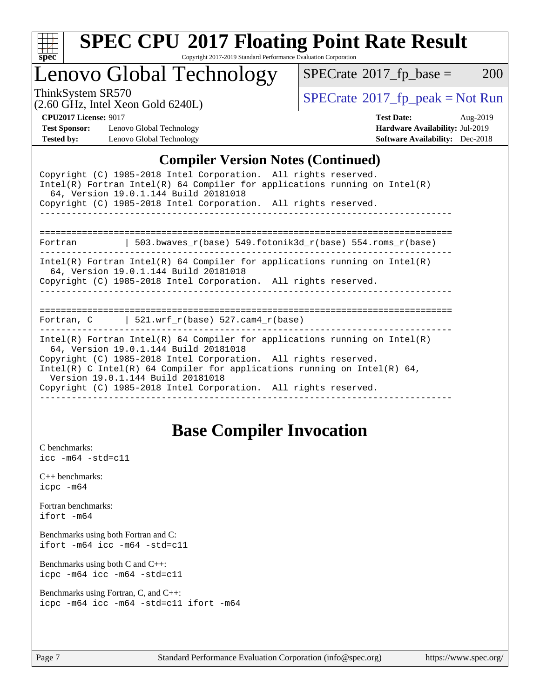

# **[SPEC CPU](http://www.spec.org/auto/cpu2017/Docs/result-fields.html#SPECCPU2017FloatingPointRateResult)[2017 Floating Point Rate Result](http://www.spec.org/auto/cpu2017/Docs/result-fields.html#SPECCPU2017FloatingPointRateResult)**

Copyright 2017-2019 Standard Performance Evaluation Corporation

## Lenovo Global Technology

 $SPECTate@2017_fp\_base = 200$ 

(2.60 GHz, Intel Xeon Gold 6240L)

ThinkSystem SR570<br>  $\begin{array}{c}\n\text{SPECrate} \textcirc 2017\_fp\_peak = Not Run \\
\text{SPECrate} \textcirc 2017\_fp\_peak = Not Run\n\end{array}$  $\begin{array}{c}\n\text{SPECrate} \textcirc 2017\_fp\_peak = Not Run \\
\text{SPECrate} \textcirc 2017\_fp\_peak = Not Run\n\end{array}$  $\begin{array}{c}\n\text{SPECrate} \textcirc 2017\_fp\_peak = Not Run \\
\text{SPECrate} \textcirc 2017\_fp\_peak = Not Run\n\end{array}$ 

**[Test Sponsor:](http://www.spec.org/auto/cpu2017/Docs/result-fields.html#TestSponsor)** Lenovo Global Technology **[Hardware Availability:](http://www.spec.org/auto/cpu2017/Docs/result-fields.html#HardwareAvailability)** Jul-2019 **[Tested by:](http://www.spec.org/auto/cpu2017/Docs/result-fields.html#Testedby)** Lenovo Global Technology **[Software Availability:](http://www.spec.org/auto/cpu2017/Docs/result-fields.html#SoftwareAvailability)** Dec-2018

**[CPU2017 License:](http://www.spec.org/auto/cpu2017/Docs/result-fields.html#CPU2017License)** 9017 **[Test Date:](http://www.spec.org/auto/cpu2017/Docs/result-fields.html#TestDate)** Aug-2019

### **[Compiler Version Notes \(Continued\)](http://www.spec.org/auto/cpu2017/Docs/result-fields.html#CompilerVersionNotes)**

| Copyright (C) 1985-2018 Intel Corporation. All rights reserved.<br>Intel(R) Fortran Intel(R) 64 Compiler for applications running on Intel(R)<br>64, Version 19.0.1.144 Build 20181018<br>Copyright (C) 1985-2018 Intel Corporation. All rights reserved.                                                                                                                  |  |  |  |  |  |
|----------------------------------------------------------------------------------------------------------------------------------------------------------------------------------------------------------------------------------------------------------------------------------------------------------------------------------------------------------------------------|--|--|--|--|--|
| 503.bwaves_r(base) 549.fotonik3d_r(base) 554.roms_r(base)<br>Fortran                                                                                                                                                                                                                                                                                                       |  |  |  |  |  |
| Intel(R) Fortran Intel(R) 64 Compiler for applications running on Intel(R)<br>64, Version 19.0.1.144 Build 20181018<br>Copyright (C) 1985-2018 Intel Corporation. All rights reserved.                                                                                                                                                                                     |  |  |  |  |  |
| Fortran, $C$   521.wrf $r(base)$ 527.cam4 $r(base)$                                                                                                                                                                                                                                                                                                                        |  |  |  |  |  |
| Intel(R) Fortran Intel(R) 64 Compiler for applications running on Intel(R)<br>64, Version 19.0.1.144 Build 20181018<br>Copyright (C) 1985-2018 Intel Corporation. All rights reserved.<br>Intel(R) C Intel(R) 64 Compiler for applications running on Intel(R) 64,<br>Version 19.0.1.144 Build 20181018<br>Copyright (C) 1985-2018 Intel Corporation. All rights reserved. |  |  |  |  |  |

## **[Base Compiler Invocation](http://www.spec.org/auto/cpu2017/Docs/result-fields.html#BaseCompilerInvocation)**

[C benchmarks](http://www.spec.org/auto/cpu2017/Docs/result-fields.html#Cbenchmarks): [icc -m64 -std=c11](http://www.spec.org/cpu2017/results/res2019q3/cpu2017-20190903-17667.flags.html#user_CCbase_intel_icc_64bit_c11_33ee0cdaae7deeeab2a9725423ba97205ce30f63b9926c2519791662299b76a0318f32ddfffdc46587804de3178b4f9328c46fa7c2b0cd779d7a61945c91cd35)

[C++ benchmarks:](http://www.spec.org/auto/cpu2017/Docs/result-fields.html#CXXbenchmarks) [icpc -m64](http://www.spec.org/cpu2017/results/res2019q3/cpu2017-20190903-17667.flags.html#user_CXXbase_intel_icpc_64bit_4ecb2543ae3f1412ef961e0650ca070fec7b7afdcd6ed48761b84423119d1bf6bdf5cad15b44d48e7256388bc77273b966e5eb805aefd121eb22e9299b2ec9d9)

[Fortran benchmarks](http://www.spec.org/auto/cpu2017/Docs/result-fields.html#Fortranbenchmarks): [ifort -m64](http://www.spec.org/cpu2017/results/res2019q3/cpu2017-20190903-17667.flags.html#user_FCbase_intel_ifort_64bit_24f2bb282fbaeffd6157abe4f878425411749daecae9a33200eee2bee2fe76f3b89351d69a8130dd5949958ce389cf37ff59a95e7a40d588e8d3a57e0c3fd751)

[Benchmarks using both Fortran and C](http://www.spec.org/auto/cpu2017/Docs/result-fields.html#BenchmarksusingbothFortranandC): [ifort -m64](http://www.spec.org/cpu2017/results/res2019q3/cpu2017-20190903-17667.flags.html#user_CC_FCbase_intel_ifort_64bit_24f2bb282fbaeffd6157abe4f878425411749daecae9a33200eee2bee2fe76f3b89351d69a8130dd5949958ce389cf37ff59a95e7a40d588e8d3a57e0c3fd751) [icc -m64 -std=c11](http://www.spec.org/cpu2017/results/res2019q3/cpu2017-20190903-17667.flags.html#user_CC_FCbase_intel_icc_64bit_c11_33ee0cdaae7deeeab2a9725423ba97205ce30f63b9926c2519791662299b76a0318f32ddfffdc46587804de3178b4f9328c46fa7c2b0cd779d7a61945c91cd35)

[Benchmarks using both C and C++](http://www.spec.org/auto/cpu2017/Docs/result-fields.html#BenchmarksusingbothCandCXX): [icpc -m64](http://www.spec.org/cpu2017/results/res2019q3/cpu2017-20190903-17667.flags.html#user_CC_CXXbase_intel_icpc_64bit_4ecb2543ae3f1412ef961e0650ca070fec7b7afdcd6ed48761b84423119d1bf6bdf5cad15b44d48e7256388bc77273b966e5eb805aefd121eb22e9299b2ec9d9) [icc -m64 -std=c11](http://www.spec.org/cpu2017/results/res2019q3/cpu2017-20190903-17667.flags.html#user_CC_CXXbase_intel_icc_64bit_c11_33ee0cdaae7deeeab2a9725423ba97205ce30f63b9926c2519791662299b76a0318f32ddfffdc46587804de3178b4f9328c46fa7c2b0cd779d7a61945c91cd35)

[Benchmarks using Fortran, C, and C++:](http://www.spec.org/auto/cpu2017/Docs/result-fields.html#BenchmarksusingFortranCandCXX) [icpc -m64](http://www.spec.org/cpu2017/results/res2019q3/cpu2017-20190903-17667.flags.html#user_CC_CXX_FCbase_intel_icpc_64bit_4ecb2543ae3f1412ef961e0650ca070fec7b7afdcd6ed48761b84423119d1bf6bdf5cad15b44d48e7256388bc77273b966e5eb805aefd121eb22e9299b2ec9d9) [icc -m64 -std=c11](http://www.spec.org/cpu2017/results/res2019q3/cpu2017-20190903-17667.flags.html#user_CC_CXX_FCbase_intel_icc_64bit_c11_33ee0cdaae7deeeab2a9725423ba97205ce30f63b9926c2519791662299b76a0318f32ddfffdc46587804de3178b4f9328c46fa7c2b0cd779d7a61945c91cd35) [ifort -m64](http://www.spec.org/cpu2017/results/res2019q3/cpu2017-20190903-17667.flags.html#user_CC_CXX_FCbase_intel_ifort_64bit_24f2bb282fbaeffd6157abe4f878425411749daecae9a33200eee2bee2fe76f3b89351d69a8130dd5949958ce389cf37ff59a95e7a40d588e8d3a57e0c3fd751)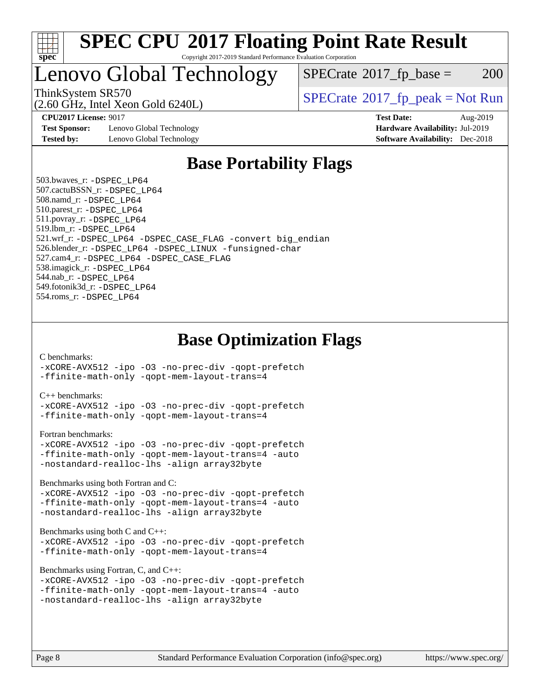

## Lenovo Global Technology

 $SPECTate$ <sup>®</sup>[2017\\_fp\\_base =](http://www.spec.org/auto/cpu2017/Docs/result-fields.html#SPECrate2017fpbase) 200

(2.60 GHz, Intel Xeon Gold 6240L)

ThinkSystem SR570<br>  $SPECrate^{\circ}2017$  $SPECrate^{\circ}2017$  fp\_peak = Not Run

**[Test Sponsor:](http://www.spec.org/auto/cpu2017/Docs/result-fields.html#TestSponsor)** Lenovo Global Technology **[Hardware Availability:](http://www.spec.org/auto/cpu2017/Docs/result-fields.html#HardwareAvailability)** Jul-2019 **[Tested by:](http://www.spec.org/auto/cpu2017/Docs/result-fields.html#Testedby)** Lenovo Global Technology **[Software Availability:](http://www.spec.org/auto/cpu2017/Docs/result-fields.html#SoftwareAvailability)** Dec-2018

**[CPU2017 License:](http://www.spec.org/auto/cpu2017/Docs/result-fields.html#CPU2017License)** 9017 **[Test Date:](http://www.spec.org/auto/cpu2017/Docs/result-fields.html#TestDate)** Aug-2019

## **[Base Portability Flags](http://www.spec.org/auto/cpu2017/Docs/result-fields.html#BasePortabilityFlags)**

 503.bwaves\_r: [-DSPEC\\_LP64](http://www.spec.org/cpu2017/results/res2019q3/cpu2017-20190903-17667.flags.html#suite_basePORTABILITY503_bwaves_r_DSPEC_LP64) 507.cactuBSSN\_r: [-DSPEC\\_LP64](http://www.spec.org/cpu2017/results/res2019q3/cpu2017-20190903-17667.flags.html#suite_basePORTABILITY507_cactuBSSN_r_DSPEC_LP64) 508.namd\_r: [-DSPEC\\_LP64](http://www.spec.org/cpu2017/results/res2019q3/cpu2017-20190903-17667.flags.html#suite_basePORTABILITY508_namd_r_DSPEC_LP64) 510.parest\_r: [-DSPEC\\_LP64](http://www.spec.org/cpu2017/results/res2019q3/cpu2017-20190903-17667.flags.html#suite_basePORTABILITY510_parest_r_DSPEC_LP64) 511.povray\_r: [-DSPEC\\_LP64](http://www.spec.org/cpu2017/results/res2019q3/cpu2017-20190903-17667.flags.html#suite_basePORTABILITY511_povray_r_DSPEC_LP64) 519.lbm\_r: [-DSPEC\\_LP64](http://www.spec.org/cpu2017/results/res2019q3/cpu2017-20190903-17667.flags.html#suite_basePORTABILITY519_lbm_r_DSPEC_LP64) 521.wrf\_r: [-DSPEC\\_LP64](http://www.spec.org/cpu2017/results/res2019q3/cpu2017-20190903-17667.flags.html#suite_basePORTABILITY521_wrf_r_DSPEC_LP64) [-DSPEC\\_CASE\\_FLAG](http://www.spec.org/cpu2017/results/res2019q3/cpu2017-20190903-17667.flags.html#b521.wrf_r_baseCPORTABILITY_DSPEC_CASE_FLAG) [-convert big\\_endian](http://www.spec.org/cpu2017/results/res2019q3/cpu2017-20190903-17667.flags.html#user_baseFPORTABILITY521_wrf_r_convert_big_endian_c3194028bc08c63ac5d04de18c48ce6d347e4e562e8892b8bdbdc0214820426deb8554edfa529a3fb25a586e65a3d812c835984020483e7e73212c4d31a38223) 526.blender\_r: [-DSPEC\\_LP64](http://www.spec.org/cpu2017/results/res2019q3/cpu2017-20190903-17667.flags.html#suite_basePORTABILITY526_blender_r_DSPEC_LP64) [-DSPEC\\_LINUX](http://www.spec.org/cpu2017/results/res2019q3/cpu2017-20190903-17667.flags.html#b526.blender_r_baseCPORTABILITY_DSPEC_LINUX) [-funsigned-char](http://www.spec.org/cpu2017/results/res2019q3/cpu2017-20190903-17667.flags.html#user_baseCPORTABILITY526_blender_r_force_uchar_40c60f00ab013830e2dd6774aeded3ff59883ba5a1fc5fc14077f794d777847726e2a5858cbc7672e36e1b067e7e5c1d9a74f7176df07886a243d7cc18edfe67) 527.cam4\_r: [-DSPEC\\_LP64](http://www.spec.org/cpu2017/results/res2019q3/cpu2017-20190903-17667.flags.html#suite_basePORTABILITY527_cam4_r_DSPEC_LP64) [-DSPEC\\_CASE\\_FLAG](http://www.spec.org/cpu2017/results/res2019q3/cpu2017-20190903-17667.flags.html#b527.cam4_r_baseCPORTABILITY_DSPEC_CASE_FLAG) 538.imagick\_r: [-DSPEC\\_LP64](http://www.spec.org/cpu2017/results/res2019q3/cpu2017-20190903-17667.flags.html#suite_basePORTABILITY538_imagick_r_DSPEC_LP64) 544.nab\_r: [-DSPEC\\_LP64](http://www.spec.org/cpu2017/results/res2019q3/cpu2017-20190903-17667.flags.html#suite_basePORTABILITY544_nab_r_DSPEC_LP64) 549.fotonik3d\_r: [-DSPEC\\_LP64](http://www.spec.org/cpu2017/results/res2019q3/cpu2017-20190903-17667.flags.html#suite_basePORTABILITY549_fotonik3d_r_DSPEC_LP64) 554.roms\_r: [-DSPEC\\_LP64](http://www.spec.org/cpu2017/results/res2019q3/cpu2017-20190903-17667.flags.html#suite_basePORTABILITY554_roms_r_DSPEC_LP64)

### **[Base Optimization Flags](http://www.spec.org/auto/cpu2017/Docs/result-fields.html#BaseOptimizationFlags)**

#### [C benchmarks](http://www.spec.org/auto/cpu2017/Docs/result-fields.html#Cbenchmarks):

[-xCORE-AVX512](http://www.spec.org/cpu2017/results/res2019q3/cpu2017-20190903-17667.flags.html#user_CCbase_f-xCORE-AVX512) [-ipo](http://www.spec.org/cpu2017/results/res2019q3/cpu2017-20190903-17667.flags.html#user_CCbase_f-ipo) [-O3](http://www.spec.org/cpu2017/results/res2019q3/cpu2017-20190903-17667.flags.html#user_CCbase_f-O3) [-no-prec-div](http://www.spec.org/cpu2017/results/res2019q3/cpu2017-20190903-17667.flags.html#user_CCbase_f-no-prec-div) [-qopt-prefetch](http://www.spec.org/cpu2017/results/res2019q3/cpu2017-20190903-17667.flags.html#user_CCbase_f-qopt-prefetch) [-ffinite-math-only](http://www.spec.org/cpu2017/results/res2019q3/cpu2017-20190903-17667.flags.html#user_CCbase_f_finite_math_only_cb91587bd2077682c4b38af759c288ed7c732db004271a9512da14a4f8007909a5f1427ecbf1a0fb78ff2a814402c6114ac565ca162485bbcae155b5e4258871) [-qopt-mem-layout-trans=4](http://www.spec.org/cpu2017/results/res2019q3/cpu2017-20190903-17667.flags.html#user_CCbase_f-qopt-mem-layout-trans_fa39e755916c150a61361b7846f310bcdf6f04e385ef281cadf3647acec3f0ae266d1a1d22d972a7087a248fd4e6ca390a3634700869573d231a252c784941a8)

#### [C++ benchmarks:](http://www.spec.org/auto/cpu2017/Docs/result-fields.html#CXXbenchmarks)

[-xCORE-AVX512](http://www.spec.org/cpu2017/results/res2019q3/cpu2017-20190903-17667.flags.html#user_CXXbase_f-xCORE-AVX512) [-ipo](http://www.spec.org/cpu2017/results/res2019q3/cpu2017-20190903-17667.flags.html#user_CXXbase_f-ipo) [-O3](http://www.spec.org/cpu2017/results/res2019q3/cpu2017-20190903-17667.flags.html#user_CXXbase_f-O3) [-no-prec-div](http://www.spec.org/cpu2017/results/res2019q3/cpu2017-20190903-17667.flags.html#user_CXXbase_f-no-prec-div) [-qopt-prefetch](http://www.spec.org/cpu2017/results/res2019q3/cpu2017-20190903-17667.flags.html#user_CXXbase_f-qopt-prefetch) [-ffinite-math-only](http://www.spec.org/cpu2017/results/res2019q3/cpu2017-20190903-17667.flags.html#user_CXXbase_f_finite_math_only_cb91587bd2077682c4b38af759c288ed7c732db004271a9512da14a4f8007909a5f1427ecbf1a0fb78ff2a814402c6114ac565ca162485bbcae155b5e4258871) [-qopt-mem-layout-trans=4](http://www.spec.org/cpu2017/results/res2019q3/cpu2017-20190903-17667.flags.html#user_CXXbase_f-qopt-mem-layout-trans_fa39e755916c150a61361b7846f310bcdf6f04e385ef281cadf3647acec3f0ae266d1a1d22d972a7087a248fd4e6ca390a3634700869573d231a252c784941a8)

#### [Fortran benchmarks](http://www.spec.org/auto/cpu2017/Docs/result-fields.html#Fortranbenchmarks):

```
-xCORE-AVX512 -ipo -O3 -no-prec-div -qopt-prefetch
-ffinite-math-only -qopt-mem-layout-trans=4 -auto
-nostandard-realloc-lhs -align array32byte
```
[Benchmarks using both Fortran and C](http://www.spec.org/auto/cpu2017/Docs/result-fields.html#BenchmarksusingbothFortranandC):

```
-xCORE-AVX512 -ipo -O3 -no-prec-div -qopt-prefetch
-ffinite-math-only -qopt-mem-layout-trans=4 -auto
-nostandard-realloc-lhs -align array32byte
```
#### [Benchmarks using both C and C++](http://www.spec.org/auto/cpu2017/Docs/result-fields.html#BenchmarksusingbothCandCXX):

```
-xCORE-AVX512 -ipo -O3 -no-prec-div -qopt-prefetch
-ffinite-math-only -qopt-mem-layout-trans=4
```
[Benchmarks using Fortran, C, and C++:](http://www.spec.org/auto/cpu2017/Docs/result-fields.html#BenchmarksusingFortranCandCXX)

```
-xCORE-AVX512 -ipo -O3 -no-prec-div -qopt-prefetch
-ffinite-math-only -qopt-mem-layout-trans=4 -auto
-nostandard-realloc-lhs -align array32byte
```